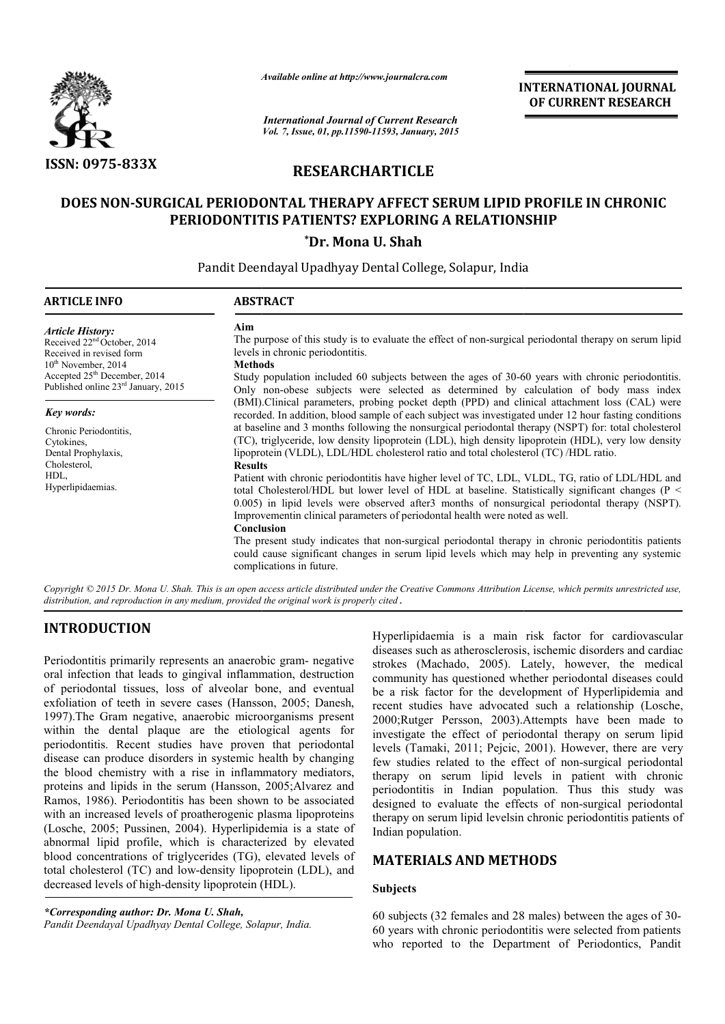

*Available online at http://www.journal http://www.journalcra.com*

*International Journal of Current Research Vol. 7, Issue, 01, pp.11590-11593, January, 2015* **INTERNATIONAL JOURNAL OF CURRENT RESEARCH** 

# **RESEARCHARTICLE**

# **DOES NON-SURGICAL PERIODONTAL THERAPY AFFECT SERUM LIPID PROFILE IN CHRONIC SURGICAL PATIENTS? EXPLORING A RELATIONSHIP LIPID PROFILE PERIODONTITIS PAT IENTS?**

**\*Dr. Mona U. Shah**

Pandit Deendayal Upadhyay Dental College, Solapur, India

| <b>ARTICLE INFO</b>                                                                                                                                                                              | <b>ABSTRACT</b>                                                                                                                                                                                                                                                                                                                                                                                                                                                                                                |
|--------------------------------------------------------------------------------------------------------------------------------------------------------------------------------------------------|----------------------------------------------------------------------------------------------------------------------------------------------------------------------------------------------------------------------------------------------------------------------------------------------------------------------------------------------------------------------------------------------------------------------------------------------------------------------------------------------------------------|
| <b>Article History:</b><br>Received $22nd$ October, 2014<br>Received in revised form<br>$10th$ November, 2014<br>Accepted 25 <sup>th</sup> December, 2014<br>Published online 23rd January, 2015 | Aim<br>The purpose of this study is to evaluate the effect of non-surgical periodontal therapy on serum lipid<br>levels in chronic periodontitis.<br><b>Methods</b><br>Study population included 60 subjects between the ages of 30-60 years with chronic periodontitis.<br>Only non-obese subjects were selected as determined by calculation of body mass index                                                                                                                                              |
| Key words:<br>Chronic Periodontitis.<br>Cytokines,<br>Dental Prophylaxis,                                                                                                                        | (BMI). Clinical parameters, probing pocket depth (PPD) and clinical attachment loss (CAL) were<br>recorded. In addition, blood sample of each subject was investigated under 12 hour fasting conditions<br>at baseline and 3 months following the nonsurgical periodontal therapy (NSPT) for: total cholesterol<br>(TC), triglyceride, low density lipoprotein (LDL), high density lipoprotein (HDL), very low density<br>lipoprotein (VLDL), LDL/HDL cholesterol ratio and total cholesterol (TC) /HDL ratio. |
| Cholesterol,<br>HDL,<br>Hyperlipidaemias.                                                                                                                                                        | <b>Results</b><br>Patient with chronic periodontitis have higher level of TC, LDL, VLDL, TG, ratio of LDL/HDL and<br>total Cholesterol/HDL but lower level of HDL at baseline. Statistically significant changes ( $P \leq$<br>0.005) in lipid levels were observed after3 months of nonsurgical periodontal therapy (NSPT).<br>Improvement in clinical parameters of periodontal health were noted as well.<br>Conclusion                                                                                     |
| $\cdot$ $\cdot$ $\sim$ $\cdot$ $\cdot$ $\cdot$ $\cdot$ $\cdot$ $\cdot$                                                                                                                           | The present study indicates that non-surgical periodontal therapy in chronic periodontitis patients<br>could cause significant changes in serum lipid levels which may help in preventing any systemic<br>complications in future.<br>$\cdots$ $\cdots$ $\cdots$ $\cdots$ $\cdots$ $\cdots$                                                                                                                                                                                                                    |

Copyright © 2015 Dr. Mona U. Shah. This is an open access article distributed under the Creative Commons Attribution License, which permits unrestricted use, *distribution, and reproduction in any medium, provided the original work is properly cited .*

# **INTRODUCTION**

Periodontitis primarily represents an anaerobic gram- negative oral infection that leads to gingival inflammation, destruction of periodontal tissues, loss of alveolar bone, and eventual exfoliation of teeth in severe cases (Hansson, 2005; Danesh, 1997).The Gram negative, anaerobic microorganisms present within the dental plaque are the etiological agents for periodontitis. Recent studies have proven that periodontal disease can produce disorders in systemic health by changing the blood chemistry with a rise in inflammatory mediators, proteins and lipids in the serum (Hansson, 2005; Alvarez and Ramos, 1986). Periodontitis has been shown to be associated with an increased levels of proatherogenic plasma lipoproteins (Losche, 2005; Pussinen, 2004). Hyperlipidemia is a state of abnormal lipid profile, which is characterized by elevated blood concentrations of triglycerides (TG), elevated levels of total cholesterol (TC) and low-density lipoprotein (LDL), and blood concentrations of triglycerides (TG), elevate total cholesterol (TC) and low-density lipoprotein (decreased levels of high-density lipoprotein (HDL). The Gram negative, anaerobic microorganisms present<br>the dental plaque are the etiological agents for<br>ontitis. Recent studies have proven that periodontal<br>e can produce disorders in systemic health by changing<br>ood chemistry

*\*Corresponding author: Dr. Mona U. Shah,* Pandit Deendayal Upadhyay Dental College, Solapur, India. Hyperlipidaemia is a main risk factor for cardiovascular diseases such as atherosclerosis, ischemic disorders and cardiac strokes (Machado, 2005). Lately, however, the medical community has questioned whether periodontal diseases could be a risk factor for the development of Hyperlipidemia and recent studies have advocated such a relationship 2000;Rutger Persson, 2003).Attempts have been made to investigate the effect of periodontal therapy on serum lipid levels (Tamaki, 2011; Pejcic, 2001). However, there are very few studies related to the effect of non-surgical periodontal therapy on serum lipid levels in patient with chronic periodontitis in Indian population. Thus this study was designed to evaluate the effects of non-surgical periodontal therapy on serum lipid levelsin chronic periodontitis patients of Indian population. main risk factor for cardiovascular<br>clerosis, ischemic disorders and cardiac<br>05). Lately, however, the medical<br>ed whether periodontal diseases could<br>elevelopment of Hyperlipidemia and<br>vocated such a relationship (Losche, ). Attempts have been made to iddontal therapy on serum lipid , 2001). However, there are very therapy on serum lipid levels in patient with chronic periodontitis in Indian population. Thus this study was designed to evaluate the effects of non-surgical periodontal

# **MATERIALS AND METHODS METHODS**

#### **Subjects**

60 subjects (32 females and 28 males) between the ages of 30-60 years with chronic periodontitis were selected from patients who reported to the Department of Periodontics, Pandit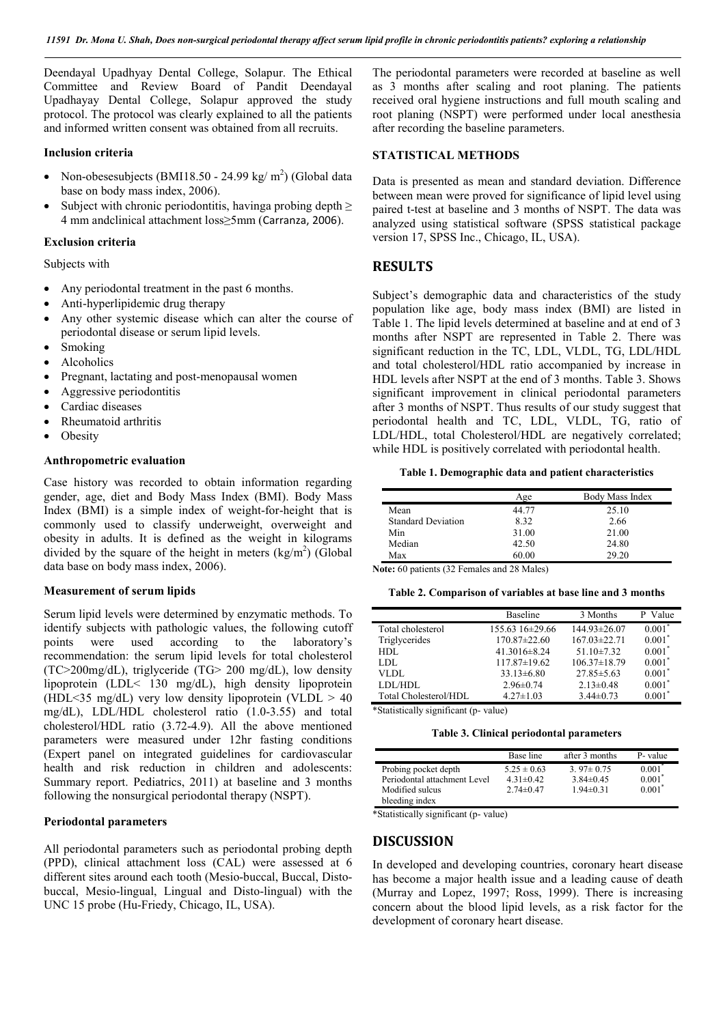Deendayal Upadhyay Dental College, Solapur. The Ethical Committee and Review Board of Pandit Deendayal Upadhayay Dental College, Solapur approved the study protocol. The protocol was clearly explained to all the patients and informed written consent was obtained from all recruits.

#### **Inclusion criteria**

- Non-obesesubjects (BMI18.50 24.99 kg/ $m<sup>2</sup>$ ) (Global data base on body mass index, 2006).
- Subject with chronic periodontitis, having a probing depth  $\geq$ 4 mm andclinical attachment loss≥5mm (Carranza, 2006).

#### **Exclusion criteria**

#### Subjects with

- Any periodontal treatment in the past 6 months.
- Anti-hyperlipidemic drug therapy
- Any other systemic disease which can alter the course of periodontal disease or serum lipid levels.
- Smoking
- Alcoholics
- Pregnant, lactating and post-menopausal women
- Aggressive periodontitis
- Cardiac diseases
- Rheumatoid arthritis
- **Obesity**

### **Anthropometric evaluation**

Case history was recorded to obtain information regarding gender, age, diet and Body Mass Index (BMI). Body Mass Index (BMI) is a simple index of weight-for-height that is commonly used to classify underweight, overweight and obesity in adults. It is defined as the weight in kilograms divided by the square of the height in meters  $(kg/m<sup>2</sup>)$  (Global data base on body mass index, 2006).

### **Measurement of serum lipids**

Serum lipid levels were determined by enzymatic methods. To identify subjects with pathologic values, the following cutoff points were used according to the laboratory's recommendation: the serum lipid levels for total cholesterol (TC>200mg/dL), triglyceride (TG> 200 mg/dL), low density lipoprotein (LDL< 130 mg/dL), high density lipoprotein (HDL<35 mg/dL) very low density lipoprotein (VLDL  $> 40$ mg/dL), LDL/HDL cholesterol ratio (1.0-3.55) and total cholesterol/HDL ratio (3.72-4.9). All the above mentioned parameters were measured under 12hr fasting conditions (Expert panel on integrated guidelines for cardiovascular health and risk reduction in children and adolescents: Summary report. Pediatrics, 2011) at baseline and 3 months following the nonsurgical periodontal therapy (NSPT).

### **Periodontal parameters**

All periodontal parameters such as periodontal probing depth (PPD), clinical attachment loss (CAL) were assessed at 6 different sites around each tooth (Mesio-buccal, Buccal, Distobuccal, Mesio-lingual, Lingual and Disto-lingual) with the UNC 15 probe (Hu-Friedy, Chicago, IL, USA).

The periodontal parameters were recorded at baseline as well as 3 months after scaling and root planing. The patients received oral hygiene instructions and full mouth scaling and root planing (NSPT) were performed under local anesthesia after recording the baseline parameters.

## **STATISTICAL METHODS**

Data is presented as mean and standard deviation. Difference between mean were proved for significance of lipid level using paired t-test at baseline and 3 months of NSPT. The data was analyzed using statistical software (SPSS statistical package version 17, SPSS Inc., Chicago, IL, USA).

#### **RESULTS**

Subject's demographic data and characteristics of the study population like age, body mass index (BMI) are listed in Table 1. The lipid levels determined at baseline and at end of 3 months after NSPT are represented in Table 2. There was significant reduction in the TC, LDL, VLDL, TG, LDL/HDL and total cholesterol/HDL ratio accompanied by increase in HDL levels after NSPT at the end of 3 months. Table 3. Shows significant improvement in clinical periodontal parameters after 3 months of NSPT. Thus results of our study suggest that periodontal health and TC, LDL, VLDL, TG, ratio of LDL/HDL, total Cholesterol/HDL are negatively correlated; while HDL is positively correlated with periodontal health.

#### **Table 1. Demographic data and patient characteristics**

|                           | Age   | Body Mass Index |
|---------------------------|-------|-----------------|
| Mean                      | 44.77 | 25.10           |
| <b>Standard Deviation</b> | 8.32  | 2.66            |
| Min                       | 31.00 | 21.00           |
| Median                    | 42.50 | 24.80           |
| Max                       | 60.00 | 29.20           |

**Note:** 60 patients (32 Females and 28 Males)

|  |  |  |  | Table 2. Comparison of variables at base line and 3 months |  |  |  |  |  |
|--|--|--|--|------------------------------------------------------------|--|--|--|--|--|
|--|--|--|--|------------------------------------------------------------|--|--|--|--|--|

| Baseline           | 3 Months           | P Value   |
|--------------------|--------------------|-----------|
| 155.63 16±29.66    | 144.93±26.07       | $0.001*$  |
| $170.87 \pm 22.60$ | $167.03 \pm 22.71$ | $0.001*$  |
| $41.3016 \pm 8.24$ | 51.10 $\pm$ 7.32   | $0.001*$  |
| 117.87±19.62       | $106.37\pm18.79$   | $0.001*$  |
| $33.13\pm 6.80$    | $27.85 \pm 5.63$   | $0.001*$  |
| $2.96 \pm 0.74$    | $2.13 \pm 0.48$    | $0.001^*$ |
| $4.27 \pm 1.03$    | $3.44\pm0.73$      | $0.001*$  |
|                    |                    |           |

\*Statistically significant (p- value)

**Table 3. Clinical periodontal parameters**

|                              | Base line       | after 3 months  | P- value  |
|------------------------------|-----------------|-----------------|-----------|
| Probing pocket depth         | $5.25 \pm 0.63$ | $3.97 \pm 0.75$ | $0.001$ * |
| Periodontal attachment Level | $4.31 \pm 0.42$ | $3.84\pm0.45$   | $0.001^*$ |
| Modified sulcus              | $2.74\pm 0.47$  | $1.94 \pm 0.31$ | $0.001^*$ |
| bleeding index               |                 |                 |           |

\*Statistically significant (p- value)

## **DISCUSSION**

In developed and developing countries, coronary heart disease has become a major health issue and a leading cause of death (Murray and Lopez, 1997; Ross, 1999). There is increasing concern about the blood lipid levels, as a risk factor for the development of coronary heart disease.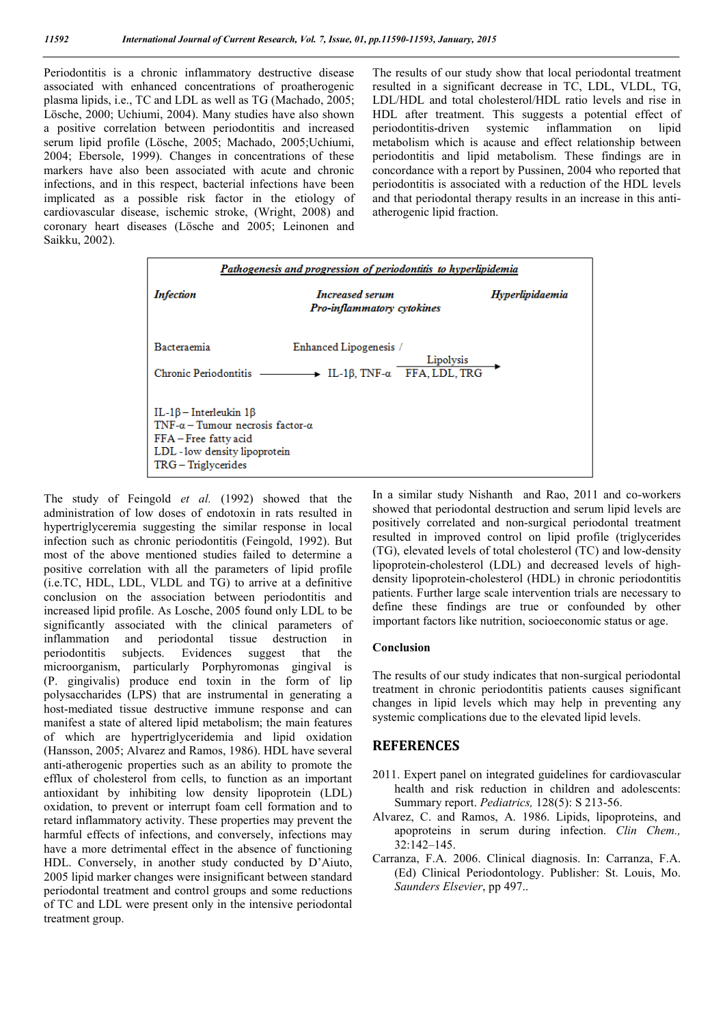Periodontitis is a chronic inflammatory destructive disease associated with enhanced concentrations of proatherogenic plasma lipids, i.e., TC and LDL as well as TG (Machado, 2005; Lösche, 2000; Uchiumi, 2004). Many studies have also shown a positive correlation between periodontitis and increased serum lipid profile (Lösche, 2005; Machado, 2005;Uchiumi, 2004; Ebersole, 1999). Changes in concentrations of these markers have also been associated with acute and chronic infections, and in this respect, bacterial infections have been implicated as a possible risk factor in the etiology of cardiovascular disease, ischemic stroke, (Wright, 2008) and coronary heart diseases (Lösche and 2005; Leinonen and Saikku, 2002).

The results of our study show that local periodontal treatment resulted in a significant decrease in TC, LDL, VLDL, TG, LDL/HDL and total cholesterol/HDL ratio levels and rise in HDL after treatment. This suggests a potential effect of periodontitis-driven systemic inflammation on lipid metabolism which is acause and effect relationship between periodontitis and lipid metabolism. These findings are in concordance with a report by Pussinen, 2004 who reported that periodontitis is associated with a reduction of the HDL levels and that periodontal therapy results in an increase in this antiatherogenic lipid fraction.

| Pathogenesis and progression of periodontitis to hyperlipidemia                                                                                                       |                                                                                                 |                 |  |  |  |
|-----------------------------------------------------------------------------------------------------------------------------------------------------------------------|-------------------------------------------------------------------------------------------------|-----------------|--|--|--|
| <b>Infection</b>                                                                                                                                                      | <b>Increased serum</b><br>Pro-inflammatory cytokines                                            | Hyperlipidaemia |  |  |  |
| Bacteraemia<br>Chronic Periodontitis                                                                                                                                  | Enhanced Lipogenesis /<br>Lipolysis<br>$\rightarrow$ IL-1 $\beta$ , TNF- $\alpha$ FFA, LDL, TRG |                 |  |  |  |
| $IL-1\beta$ – Interleukin $1\beta$<br>TNF- $\alpha$ – Tumour necrosis factor- $\alpha$<br>FFA-Free fatty acid<br>LDL - low density lipoprotein<br>TRG – Triglycerides |                                                                                                 |                 |  |  |  |

The study of Feingold *et al.* (1992) showed that the administration of low doses of endotoxin in rats resulted in hypertriglyceremia suggesting the similar response in local infection such as chronic periodontitis (Feingold, 1992). But most of the above mentioned studies failed to determine a positive correlation with all the parameters of lipid profile (i.e.TC, HDL, LDL, VLDL and TG) to arrive at a definitive conclusion on the association between periodontitis and increased lipid profile. As Losche, 2005 found only LDL to be significantly associated with the clinical parameters of inflammation and periodontal tissue destruction in periodontitis subjects. Evidences suggest that the microorganism, particularly Porphyromonas gingival is (P. gingivalis) produce end toxin in the form of lip polysaccharides (LPS) that are instrumental in generating a host-mediated tissue destructive immune response and can manifest a state of altered lipid metabolism; the main features of which are hypertriglyceridemia and lipid oxidation (Hansson, 2005; Alvarez and Ramos, 1986). HDL have several anti-atherogenic properties such as an ability to promote the efflux of cholesterol from cells, to function as an important antioxidant by inhibiting low density lipoprotein (LDL) oxidation, to prevent or interrupt foam cell formation and to retard inflammatory activity. These properties may prevent the harmful effects of infections, and conversely, infections may have a more detrimental effect in the absence of functioning HDL. Conversely, in another study conducted by D'Aiuto, 2005 lipid marker changes were insignificant between standard periodontal treatment and control groups and some reductions of TC and LDL were present only in the intensive periodontal treatment group.

In a similar study Nishanth and Rao, 2011 and co-workers showed that periodontal destruction and serum lipid levels are positively correlated and non-surgical periodontal treatment resulted in improved control on lipid profile (triglycerides (TG), elevated levels of total cholesterol (TC) and low-density lipoprotein-cholesterol (LDL) and decreased levels of highdensity lipoprotein-cholesterol (HDL) in chronic periodontitis patients. Further large scale intervention trials are necessary to define these findings are true or confounded by other important factors like nutrition, socioeconomic status or age.

#### **Conclusion**

The results of our study indicates that non-surgical periodontal treatment in chronic periodontitis patients causes significant changes in lipid levels which may help in preventing any systemic complications due to the elevated lipid levels.

### **REFERENCES**

- 2011. Expert panel on integrated guidelines for cardiovascular health and risk reduction in children and adolescents: Summary report. *Pediatrics,* 128(5): S 213-56.
- Alvarez, C. and Ramos, A. 1986. Lipids, lipoproteins, and apoproteins in serum during infection. *Clin Chem.,* 32:142–145.
- Carranza, F.A. 2006. Clinical diagnosis. In: Carranza, F.A. (Ed) Clinical Periodontology. Publisher: St. Louis, Mo. *Saunders Elsevier*, pp 497..